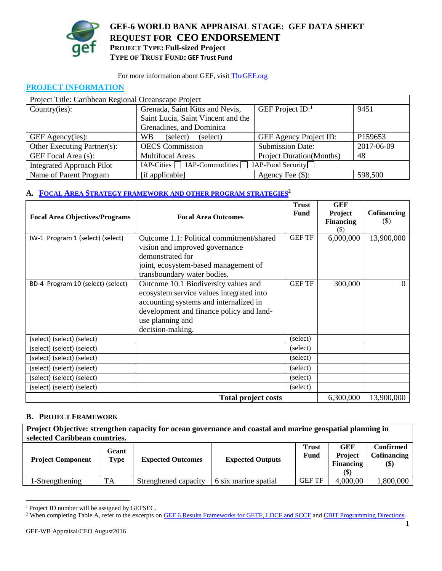

**GEF-6 WORLD BANK APPRAISAL STAGE: GEF DATA SHEET REQUEST FOR CEO ENDORSEMENT PROJECT TYPE: Full-sized Project TYPE OF TRUST FUND: GEF Trust Fund**

#### For more information about GEF, visit [TheGEF.org](http://www.thegef.org/gef/home)

### **PROJECT INFORMATION**

| Project Title: Caribbean Regional Oceanscape Project |                                                    |                                  |            |  |  |  |
|------------------------------------------------------|----------------------------------------------------|----------------------------------|------------|--|--|--|
| Country(ies):                                        | Grenada, Saint Kitts and Nevis,                    | GEF Project $ID$ :               | 9451       |  |  |  |
|                                                      | Saint Lucia, Saint Vincent and the                 |                                  |            |  |  |  |
|                                                      | Grenadines, and Dominica                           |                                  |            |  |  |  |
| GEF Agency(ies):                                     | (select)<br>WB.<br>(select)                        | <b>GEF Agency Project ID:</b>    | P159653    |  |  |  |
| Other Executing Partner(s):                          | <b>OECS</b> Commission                             | <b>Submission Date:</b>          | 2017-06-09 |  |  |  |
| GEF Focal Area (s):                                  | <b>Multifocal Areas</b>                            | <b>Project Duration</b> (Months) | 48         |  |  |  |
| <b>Integrated Approach Pilot</b>                     | $IAP-Cities$ $IAP-Commodities$ $IAP-Food Security$ |                                  |            |  |  |  |
| Name of Parent Program                               | [if applicable]                                    | Agency Fee $(\$)$ :              | 598,500    |  |  |  |

### **A. FOCAL AREA STRATEGY FRAMEWORK [AND OTHER PROGRAM STRATEGIES](http://spapps.worldbank.org/apps/gef/teams/AppData/Local/Microsoft/Windows/Temporary%20Internet%20Files/AppData/Local/Microsoft/Windows/Temporary%20Internet%20Files/AppData/Local/Microsoft/Windows/Temporary%20Internet%20Files/Content.Outlook/5RRT28VG/refer%20to%20the%20excerpts%20on%20GEF%206%20Results%20Frameworks%20for%20GETF,%20LDCF%20and%20SCCF.)<sup>2</sup>**

| <b>Focal Area Objectives/Programs</b> | <b>Focal Area Outcomes</b>                                                                                                                                                                                     | <b>Trust</b><br><b>Fund</b> | <b>GEF</b><br>Project<br><b>Financing</b><br>(\$) | Cofinancing<br>$(\$\)$ |
|---------------------------------------|----------------------------------------------------------------------------------------------------------------------------------------------------------------------------------------------------------------|-----------------------------|---------------------------------------------------|------------------------|
| IW-1 Program 1 (select) (select)      | Outcome 1.1: Political commitment/shared<br>vision and improved governance<br>demonstrated for<br>joint, ecosystem-based management of<br>transboundary water bodies.                                          | <b>GEF TF</b>               | 6,000,000                                         | 13,900,000             |
| BD-4 Program 10 (select) (select)     | Outcome 10.1 Biodiversity values and<br>ecosystem service values integrated into<br>accounting systems and internalized in<br>development and finance policy and land-<br>use planning and<br>decision-making. | <b>GEF TF</b>               | 300,000                                           | 0                      |
| (select) (select) (select)            |                                                                                                                                                                                                                | (select)                    |                                                   |                        |
| (select) (select) (select)            |                                                                                                                                                                                                                | (select)                    |                                                   |                        |
| (select) (select) (select)            |                                                                                                                                                                                                                | (select)                    |                                                   |                        |
| (select) (select) (select)            |                                                                                                                                                                                                                | (select)                    |                                                   |                        |
| (select) (select) (select)            |                                                                                                                                                                                                                | (select)                    |                                                   |                        |
| (select) (select) (select)            |                                                                                                                                                                                                                | (select)                    |                                                   |                        |
|                                       | <b>Total project costs</b>                                                                                                                                                                                     |                             | 6,300,000                                         | 13,900,000             |

### **B. PROJECT FRAMEWORK**

| Project Objective: strengthen capacity for ocean governance and coastal and marine geospatial planning in |                      |                          |                         |                      |                                           |                                                                     |  |
|-----------------------------------------------------------------------------------------------------------|----------------------|--------------------------|-------------------------|----------------------|-------------------------------------------|---------------------------------------------------------------------|--|
| selected Caribbean countries.                                                                             |                      |                          |                         |                      |                                           |                                                                     |  |
| <b>Project Component</b>                                                                                  | Grant<br><b>Type</b> | <b>Expected Outcomes</b> | <b>Expected Outputs</b> | <b>Trust</b><br>Fund | <b>GEF</b><br><b>Project</b><br>Financing | <b>Confirmed</b><br><b>Cofinancing</b><br>$\left( \text{\$}\right)$ |  |

1-Strengthening TA Strenghened capacity 6 six marine spatial GEF TF 4,000,00 1,800,000

l

<sup>&</sup>lt;sup>1</sup> Project ID number will be assigned by GEFSEC.

<sup>&</sup>lt;sup>2</sup> When completing Table A, refer to the excerpts on **GEF 6 Results Frameworks for GETF, LDCF and SCCF** an[d CBIT Programming Directions.](https://www.thegef.org/gef/sites/thegef.org/files/documents/EN_GEF.C.50.06_CBIT_Programming_Directions_0.pdf)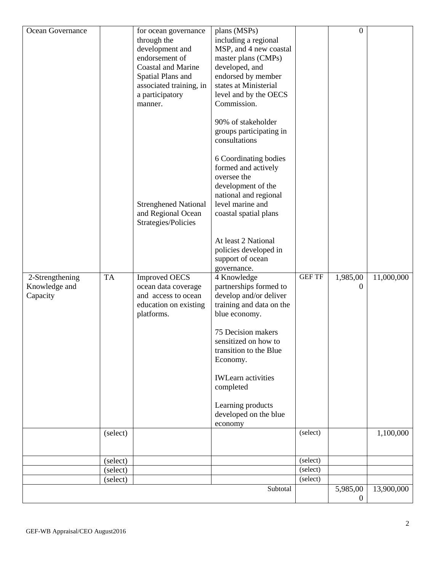| Ocean Governance                             |           | for ocean governance<br>through the<br>development and<br>endorsement of<br><b>Coastal and Marine</b><br>Spatial Plans and<br>associated training, in<br>a participatory<br>manner.<br><b>Strenghened National</b><br>and Regional Ocean<br>Strategies/Policies | plans (MSPs)<br>including a regional<br>MSP, and 4 new coastal<br>master plans (CMPs)<br>developed, and<br>endorsed by member<br>states at Ministerial<br>level and by the OECS<br>Commission.<br>90% of stakeholder<br>groups participating in<br>consultations<br>6 Coordinating bodies<br>formed and actively<br>oversee the<br>development of the<br>national and regional<br>level marine and<br>coastal spatial plans<br>At least 2 National<br>policies developed in<br>support of ocean |               | $\overline{0}$       |            |
|----------------------------------------------|-----------|-----------------------------------------------------------------------------------------------------------------------------------------------------------------------------------------------------------------------------------------------------------------|-------------------------------------------------------------------------------------------------------------------------------------------------------------------------------------------------------------------------------------------------------------------------------------------------------------------------------------------------------------------------------------------------------------------------------------------------------------------------------------------------|---------------|----------------------|------------|
| 2-Strengthening<br>Knowledge and<br>Capacity | <b>TA</b> | <b>Improved OECS</b><br>ocean data coverage<br>and access to ocean<br>education on existing<br>platforms.                                                                                                                                                       | governance.<br>4 Knowledge<br>partnerships formed to<br>develop and/or deliver<br>training and data on the<br>blue economy.<br>75 Decision makers<br>sensitized on how to<br>transition to the Blue<br>Economy.<br><b>IWLearn</b> activities<br>completed<br>Learning products<br>developed on the blue<br>economy                                                                                                                                                                              | <b>GEF TF</b> | 1,985,00<br>$\theta$ | 11,000,000 |
|                                              | (select)  |                                                                                                                                                                                                                                                                 |                                                                                                                                                                                                                                                                                                                                                                                                                                                                                                 | (select)      |                      | 1,100,000  |
|                                              | (select)  |                                                                                                                                                                                                                                                                 |                                                                                                                                                                                                                                                                                                                                                                                                                                                                                                 | (select)      |                      |            |
|                                              | (select)  |                                                                                                                                                                                                                                                                 |                                                                                                                                                                                                                                                                                                                                                                                                                                                                                                 | (select)      |                      |            |
|                                              | (select)  |                                                                                                                                                                                                                                                                 |                                                                                                                                                                                                                                                                                                                                                                                                                                                                                                 | (select)      |                      |            |
|                                              |           |                                                                                                                                                                                                                                                                 | Subtotal                                                                                                                                                                                                                                                                                                                                                                                                                                                                                        |               | 5,985,00             | 13,900,000 |
|                                              |           |                                                                                                                                                                                                                                                                 |                                                                                                                                                                                                                                                                                                                                                                                                                                                                                                 |               | $\Omega$             |            |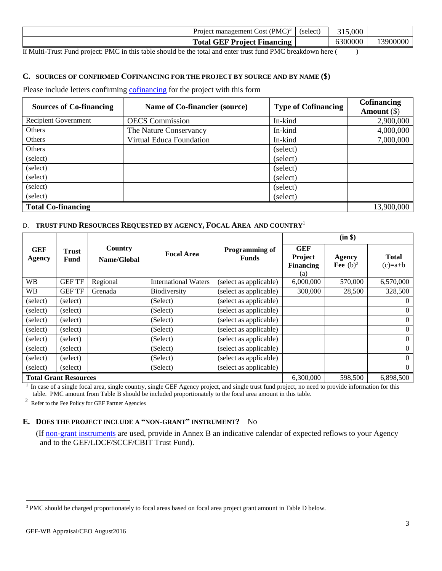| (PMC) <sup>3</sup><br>(select)<br>Cost<br>management<br>Proieci                 | 315,000 |      |
|---------------------------------------------------------------------------------|---------|------|
| <b>GEF</b><br>Project Financing<br><b>Total</b>                                 | 6300000 | 39OC |
| 1.73.621<br>$\sim$ $\sim$ $\sim$ $\sim$ $\sim$<br>$\overline{\phantom{0}}$<br>. |         |      |

If Multi-Trust Fund project: PMC in this table should be the total and enter trust fund PMC breakdown here ( )

### **C. SOURCES OF CONFIRMED C[OFINANCING](http://gefweb.org/Documents/Council_Documents/GEF_C21/C.20.6.Rev.1.pdf) FOR THE PROJECT BY SOURCE AND BY NAME (\$)**

Please include letters confirming [cofinancing](http://www.thegef.org/gef/policy/co-financing) for the project with this form

| <b>Sources of Co-financing</b> | Name of Co-financier (source) | <b>Type of Cofinancing</b> | Cofinancing<br>Amount $(\$)$ |
|--------------------------------|-------------------------------|----------------------------|------------------------------|
| Recipient Government           | <b>OECS</b> Commission        | In-kind                    | 2,900,000                    |
| Others                         | The Nature Conservancy        | In-kind                    | 4,000,000                    |
| Others                         | Virtual Educa Foundation      | In-kind                    | 7,000,000                    |
| Others                         |                               | (select)                   |                              |
| (select)                       |                               | (select)                   |                              |
| (select)                       |                               | (select)                   |                              |
| (select)                       |                               | (select)                   |                              |
| (select)                       |                               | (select)                   |                              |
| (select)                       |                               | (select)                   |                              |
| <b>Total Co-financing</b>      |                               |                            | 13,900,000                   |

### D. **TRUST FUND RESOURCES REQUESTED BY AGENCY, FOCAL AREA AND COUNTRY**<sup>1</sup>

|                      |                              |                        |                             |                                       |                                                  | (in \$)                      |                           |
|----------------------|------------------------------|------------------------|-----------------------------|---------------------------------------|--------------------------------------------------|------------------------------|---------------------------|
| <b>GEF</b><br>Agency | Trust<br>Fund                | Country<br>Name/Global | <b>Focal Area</b>           | <b>Programming of</b><br><b>Funds</b> | <b>GEF</b><br>Project<br><b>Financing</b><br>(a) | <b>Agency</b><br>Fee $(b)^2$ | <b>Total</b><br>$(c)=a+b$ |
| <b>WB</b>            | <b>GEF TF</b>                | Regional               | <b>International Waters</b> | (select as applicable)                | 6,000,000                                        | 570,000                      | 6,570,000                 |
| <b>WB</b>            | <b>GEF TF</b>                | Grenada                | <b>Biodiversity</b>         | (select as applicable)                | 300,000                                          | 28,500                       | 328,500                   |
| (select)             | (select)                     |                        | (Select)                    | (select as applicable)                |                                                  |                              | $\overline{0}$            |
| (select)             | (select)                     |                        | (Select)                    | (select as applicable)                |                                                  |                              | $\overline{0}$            |
| (select)             | (select)                     |                        | (Select)                    | (select as applicable)                |                                                  |                              | $\overline{0}$            |
| (select)             | (select)                     |                        | (Select)                    | (select as applicable)                |                                                  |                              | $\overline{0}$            |
| (select)             | (select)                     |                        | (Select)                    | (select as applicable)                |                                                  |                              | $\overline{0}$            |
| (select)             | (select)                     |                        | (Select)                    | (select as applicable)                |                                                  |                              | $\overline{0}$            |
| (select)             | (select)                     |                        | (Select)                    | (select as applicable)                |                                                  |                              | $\overline{0}$            |
| (select)             | (select)                     |                        | (Select)                    | (select as applicable)                |                                                  |                              | $\overline{0}$            |
|                      | <b>Total Grant Resources</b> |                        |                             |                                       | 6,300,000                                        | 598,500                      | 6,898,500                 |

<sup>1</sup> In case of a single focal area, single country, single GEF Agency project, and single trust fund project, no need to provide information for this table. PMC amount from Table B should be included proportionately to the focal area amount in this table.

 $2$  Refer to th[e Fee Policy for GEF Partner Agencies](http://www.thegef.org/gef/sites/thegef.org/files/documents/document/gef-fee-policy.pdf)

### **E. DOES THE PROJECT INCLUDE A "NON-GRANT" INSTRUMENT?** No

 (If [non-grant instruments](http://www.thegef.org/gef/policy/non-grant_instruments) are used, provide in Annex B an indicative calendar of expected reflows to your Agency and to the GEF/LDCF/SCCF/CBIT Trust Fund).

l

<sup>3</sup> PMC should be charged proportionately to focal areas based on focal area project grant amount in Table D below.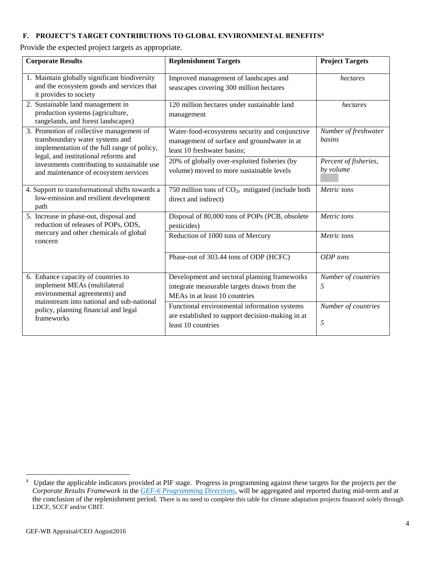# **F. PROJECT'S TARGET CONTRIBUTIONS TO GLOBAL ENVIRONMENTAL BENEFITS<sup>4</sup>**

Provide the expected project targets as appropriate.

| <b>Corporate Results</b>                                                                                                                                           | <b>Replenishment Targets</b>                                                                                                 | <b>Project Targets</b>                |
|--------------------------------------------------------------------------------------------------------------------------------------------------------------------|------------------------------------------------------------------------------------------------------------------------------|---------------------------------------|
| 1. Maintain globally significant biodiversity<br>and the ecosystem goods and services that<br>it provides to society                                               | Improved management of landscapes and<br>seascapes covering 300 million hectares                                             | hectares                              |
| 2. Sustainable land management in<br>production systems (agriculture,<br>rangelands, and forest landscapes)                                                        | 120 million hectares under sustainable land<br>management                                                                    | hectares                              |
| 3. Promotion of collective management of<br>transboundary water systems and<br>implementation of the full range of policy,<br>legal, and institutional reforms and | Water-food-ecosystems security and conjunctive<br>management of surface and groundwater in at<br>least 10 freshwater basins; | Number of freshwater<br><i>basins</i> |
| investments contributing to sustainable use<br>and maintenance of ecosystem services                                                                               | 20% of globally over-exploited fisheries (by<br>volume) moved to more sustainable levels                                     | Percent of fisheries,<br>by volume    |
| 4. Support to transformational shifts towards a<br>low-emission and resilient development<br>path                                                                  | 750 million tons of CO <sub>2e</sub> mitigated (include both<br>direct and indirect)                                         | Metric tons                           |
| 5. Increase in phase-out, disposal and<br>reduction of releases of POPs, ODS,                                                                                      | Disposal of 80,000 tons of POPs (PCB, obsolete<br>pesticides)                                                                | Metric tons                           |
| mercury and other chemicals of global<br>concern                                                                                                                   | Reduction of 1000 tons of Mercury                                                                                            | Metric tons                           |
|                                                                                                                                                                    | Phase-out of 303.44 tons of ODP (HCFC)                                                                                       | ODP tons                              |
| 6. Enhance capacity of countries to<br>implement MEAs (multilateral<br>environmental agreements) and                                                               | Development and sectoral planning frameworks<br>integrate measurable targets drawn from the<br>MEAs in at least 10 countries | Number of countries<br>5              |
| mainstream into national and sub-national<br>policy, planning financial and legal<br>frameworks                                                                    | Functional environmental information systems<br>are established to support decision-making in at<br>least 10 countries       | Number of countries<br>5              |

 4 Update the applicable indicators provided at PIF stage. Progress in programming against these targets for the projects per the *Corporate Results Framework* in the *[GEF-6 Programming Directions,](http://www.thegef.org/gef/sites/thegef.org/files/documents/GEF.C.46.07.Rev_.01_Summary_of_the_Negotiations_of_the_Sixth_Replenishment_of_the_GEF_Trust_Fund_May_22_2014.pdf)* will be aggregated and reported during mid-term and at the conclusion of the replenishment period. There is no need to complete this table for climate adaptation projects financed solely through LDCF, SCCF and/or CBIT.